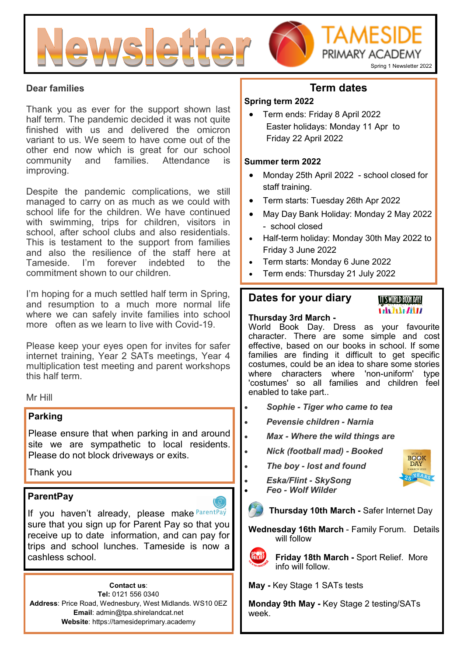

#### **Dear families**

Thank you as ever for the support shown last half term. The pandemic decided it was not quite finished with us and delivered the omicron variant to us. We seem to have come out of the other end now which is great for our school community and families. Attendance is improving.

Despite the pandemic complications, we still managed to carry on as much as we could with school life for the children. We have continued with swimming, trips for children, visitors in school, after school clubs and also residentials. This is testament to the support from families and also the resilience of the staff here at Tameside. I'm forever indebted to the commitment shown to our children.

I'm hoping for a much settled half term in Spring, and resumption to a much more normal life where we can safely invite families into school more often as we learn to live with Covid-19.

Please keep your eyes open for invites for safer internet training, Year 2 SATs meetings, Year 4 multiplication test meeting and parent workshops this half term.

Mr Hill

#### **Parking**

Please ensure that when parking in and around site we are sympathetic to local residents. Please do not block driveways or exits.

Thank you

#### **ParentPay**

If you haven't already, please make ParentPay sure that you sign up for Parent Pay so that you receive up to date information, and can pay for trips and school lunches. Tameside is now a cashless school.

**Contact us**: **Tel:** 0121 556 0340 **Address**: Price Road, Wednesbury, West Midlands. WS10 0EZ **Email**: admin@tpa.shirelandcat.net **Website**: https://tamesideprimary.academy

# **Term dates**

#### **Spring term 2022**

• Term ends: Friday 8 April 2022 Easter holidays: Monday 11 Apr to Friday 22 April 2022

#### **Summer term 2022**

- Monday 25th April 2022 school closed for staff training.
- Term starts: Tuesday 26th Apr 2022
- May Day Bank Holiday: Monday 2 May 2022 - school closed
- Half-term holiday: Monday 30th May 2022 to Friday 3 June 2022
- Term starts: Monday 6 June 2022
- Term ends: Thursday 21 July 2022

# **Dates for your diary**

#### **IT'S WORLD BOOK DAY! Vilva Alita**

#### **Thursday 3rd March -**

World Book Day. Dress as your favourite character. There are some simple and cost effective, based on our books in school. If some families are finding it difficult to get specific costumes, could be an idea to share some stories where characters where 'non-uniform' type 'costumes' so all families and children feel enabled to take part..

- *Sophie - Tiger who came to tea*
- *Pevensie children - Narnia*
- *Max - Where the wild things are*
- *Nick (football mad) - Booked*
- *The boy - lost and found*
- *Eska/Flint - SkySong*
	- *Feo - Wolf Wilder*
	- **Thursday 10th March -** Safer Internet Day
- **Wednesday 16th March**  Family Forum. Details will follow
- 
- **Friday 18th March -** Sport Relief. More info will follow.

**May -** Key Stage 1 SATs tests

**Monday 9th May -** Key Stage 2 testing/SATs week.